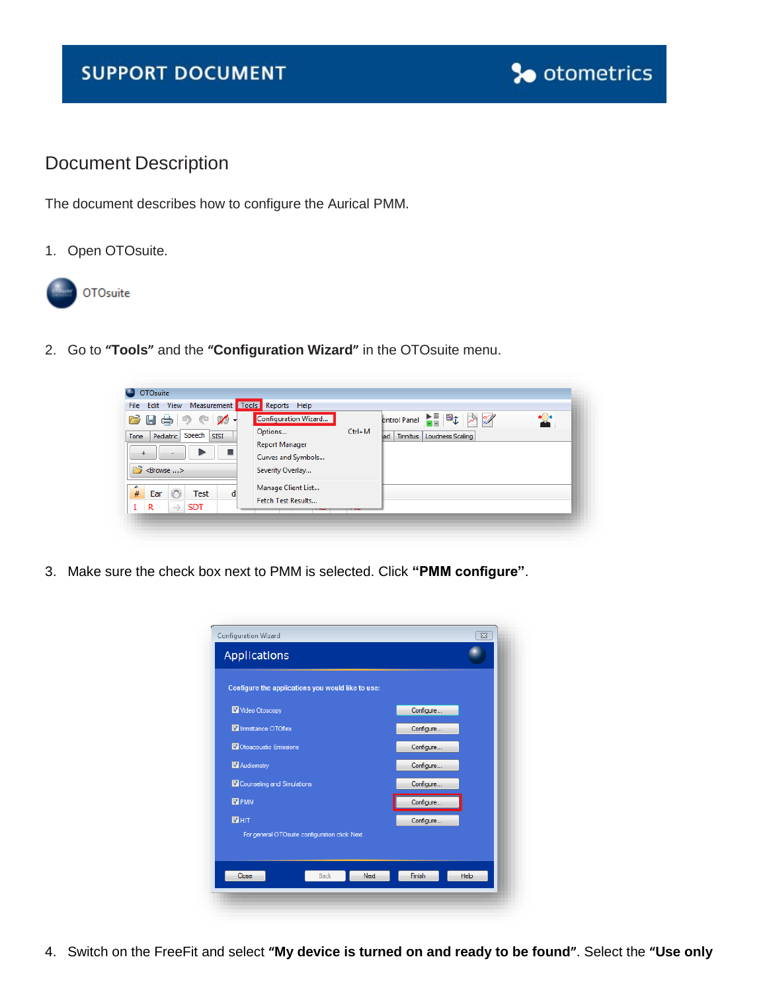## **SUPPORT DOCUMENT**



## Document Description

The document describes how to configure the Aurical PMM.

1. Open OTOsuite.



2. Go to **"Tools"** and the **"Configuration Wizard"** in the OTOsuite menu.

| <b>OTOsuite</b>                                                                                    |                                                                                                                       |                                                     |
|----------------------------------------------------------------------------------------------------|-----------------------------------------------------------------------------------------------------------------------|-----------------------------------------------------|
| Edit View Measurement Tools Reports Help<br><b>File</b>                                            |                                                                                                                       |                                                     |
| $100 +$<br>$B$ . $A$ , $B$<br>Speech<br>Pediatric<br><b>SISI</b><br>Tone<br>÷<br><browse></browse> | <b>Configuration Wizard</b><br>$Ctrl+M$<br>Options<br><b>Report Manager</b><br>Curves and Symbols<br>Severity Overlay | ontrol Panel<br>Loudness Scaling<br>lad<br>Tinnitus |
| #<br>Ear<br><b>Test</b><br>$\rightarrow$<br>R<br><b>SDT</b>                                        | Manage Client List<br>Fetch Test Results                                                                              |                                                     |

3. Make sure the check box next to PMM is selected. Click **"PMM configure"**.



4. Switch on the FreeFit and select **"My device is turned on and ready to be found"**. Select the **"Use only**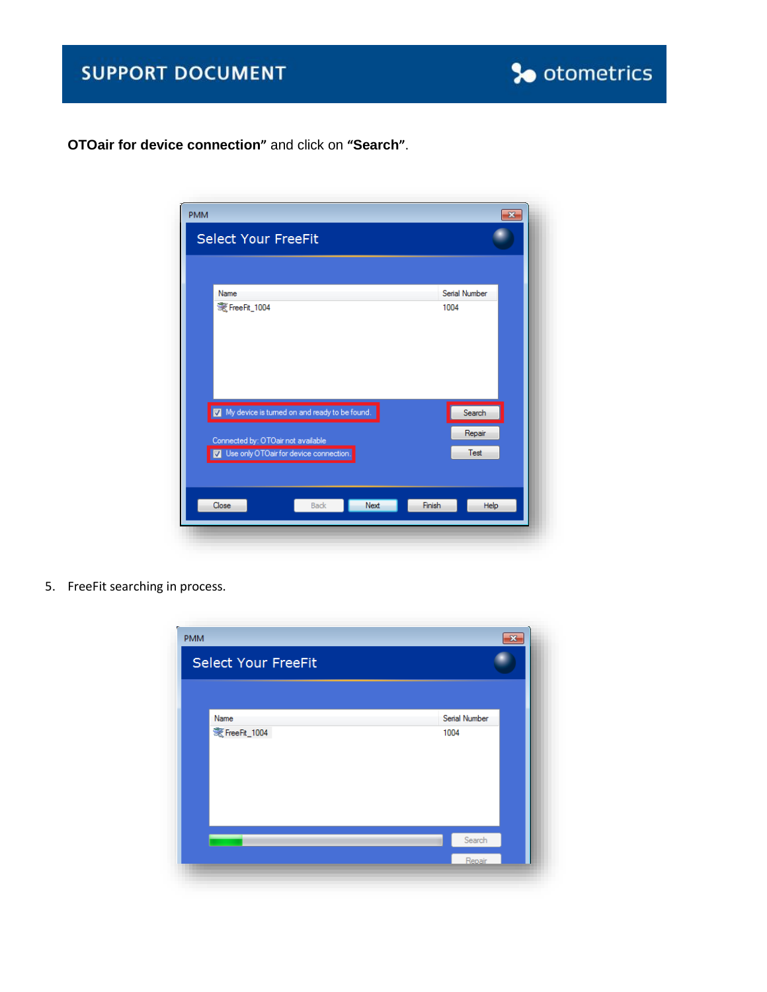

**OTOair for device connection"** and click on **"Search"**.



5. FreeFit searching in process.

| <b>PMM</b><br><b>Select Your FreeFit</b> | $\mathbf{x}$          |
|------------------------------------------|-----------------------|
| Name<br>麦 FreeFit_1004                   | Serial Number<br>1004 |
|                                          | Search<br>Repair      |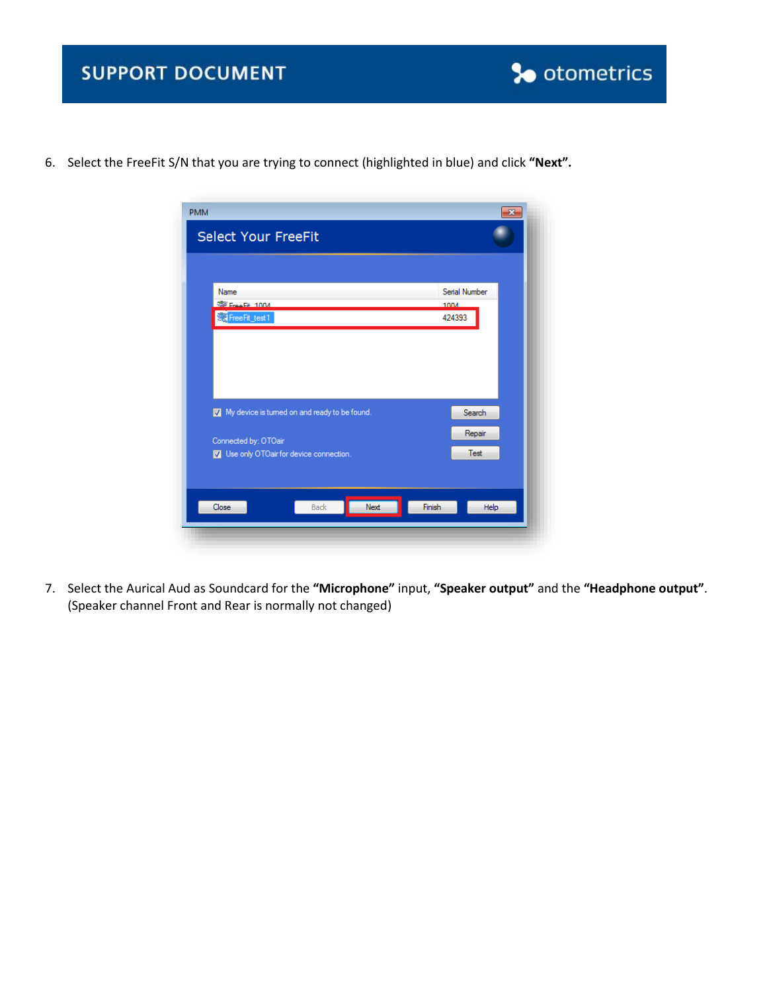

6. Select the FreeFit S/N that you are trying to connect (highlighted in blue) and click **"Next".**

| <b>Select Your FreeFit</b>                   | $\mathbf x$    |
|----------------------------------------------|----------------|
|                                              |                |
|                                              |                |
| Name                                         | Serial Number  |
| Eree Fit 1004                                | 1004           |
| <mark>ें Free Fit_test 1</mark>              | 424393         |
|                                              |                |
|                                              |                |
|                                              |                |
|                                              |                |
|                                              |                |
|                                              |                |
| My device is tumed on and ready to be found. | Search         |
|                                              |                |
| Connected by: OTOair                         | Repair         |
| Use only OTOair for device connection.       | Test           |
|                                              |                |
|                                              |                |
|                                              |                |
| Next<br><b>Back</b><br>Close                 | Finish<br>Help |
|                                              |                |

7. Select the Aurical Aud as Soundcard for the **"Microphone"** input, **"Speaker output"** and the **"Headphone output"**. (Speaker channel Front and Rear is normally not changed)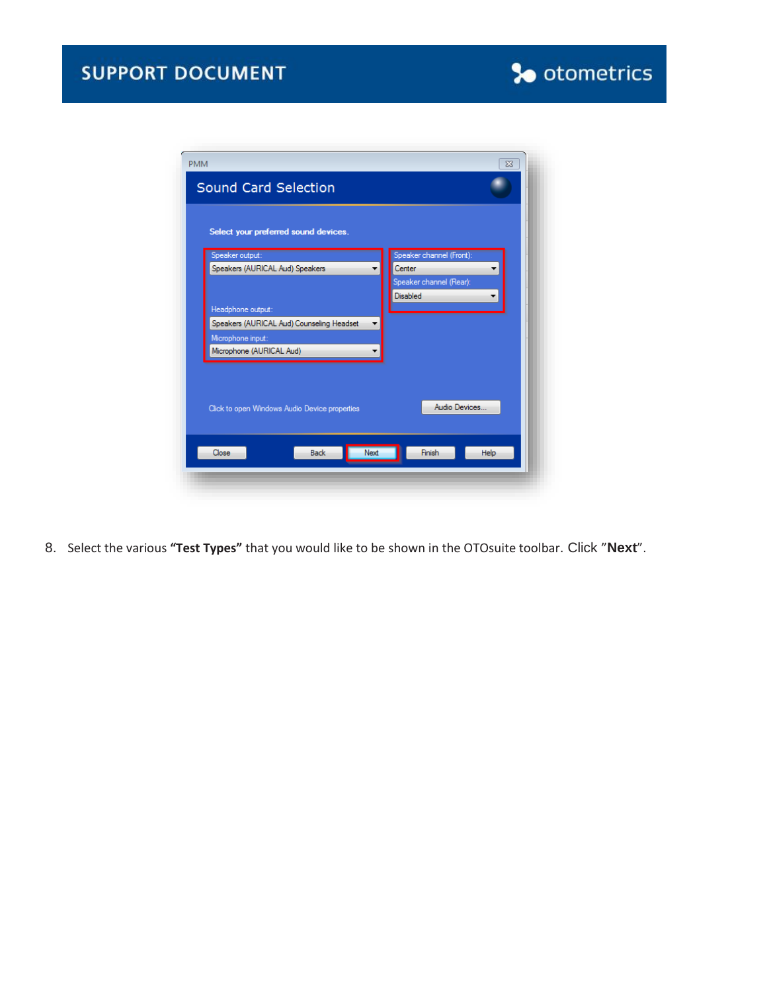

8. Select the various **"Test Types"** that you would like to be shown in the OTOsuite toolbar. Click "**Next**".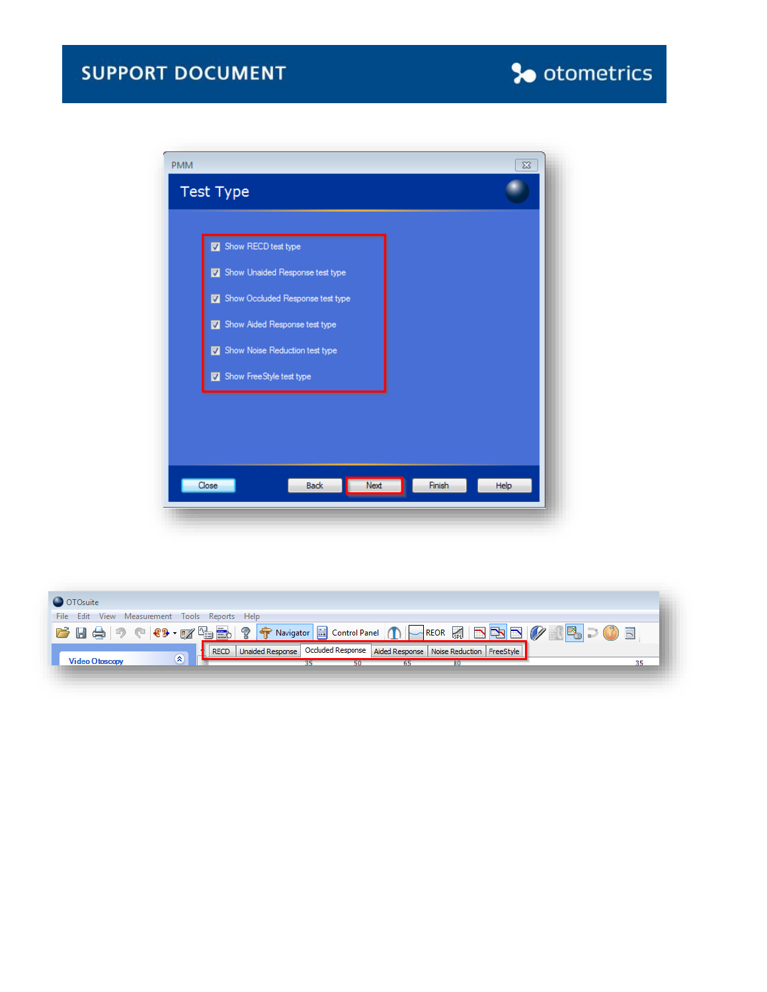## **SUPPORT DOCUMENT**





| O OTOsuite                                                                                          |  |  |  |
|-----------------------------------------------------------------------------------------------------|--|--|--|
| File Edit View Measurement Tools Reports Help                                                       |  |  |  |
| FHAI? (8-13-13-15) ? Travigator B Control Panel ( )   REOR M B B B PAB   2 0 B                      |  |  |  |
| Unaided Response Occluded Response Aided Response   Noise Reduction   FreeStyle<br><b>RECD</b><br>× |  |  |  |
| <b>Video Otoscopy</b>                                                                               |  |  |  |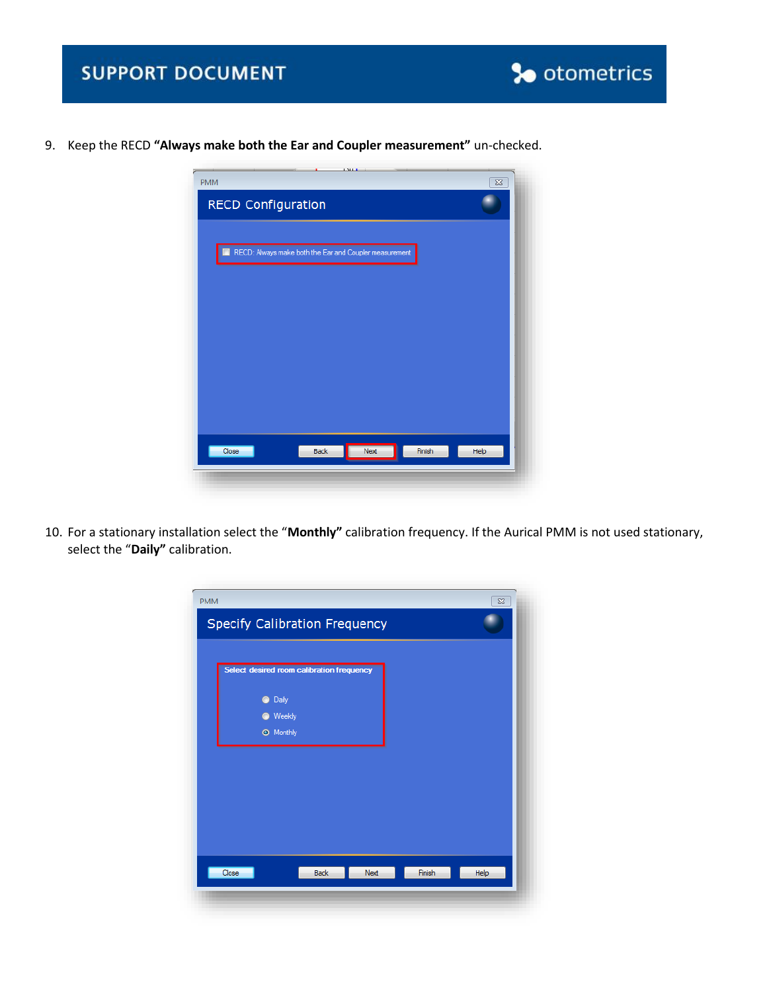

9. Keep the RECD **"Always make both the Ear and Coupler measurement"** un-checked.



10. For a stationary installation select the "**Monthly"** calibration frequency. If the Aurical PMM is not used stationary, select the "**Daily"** calibration.

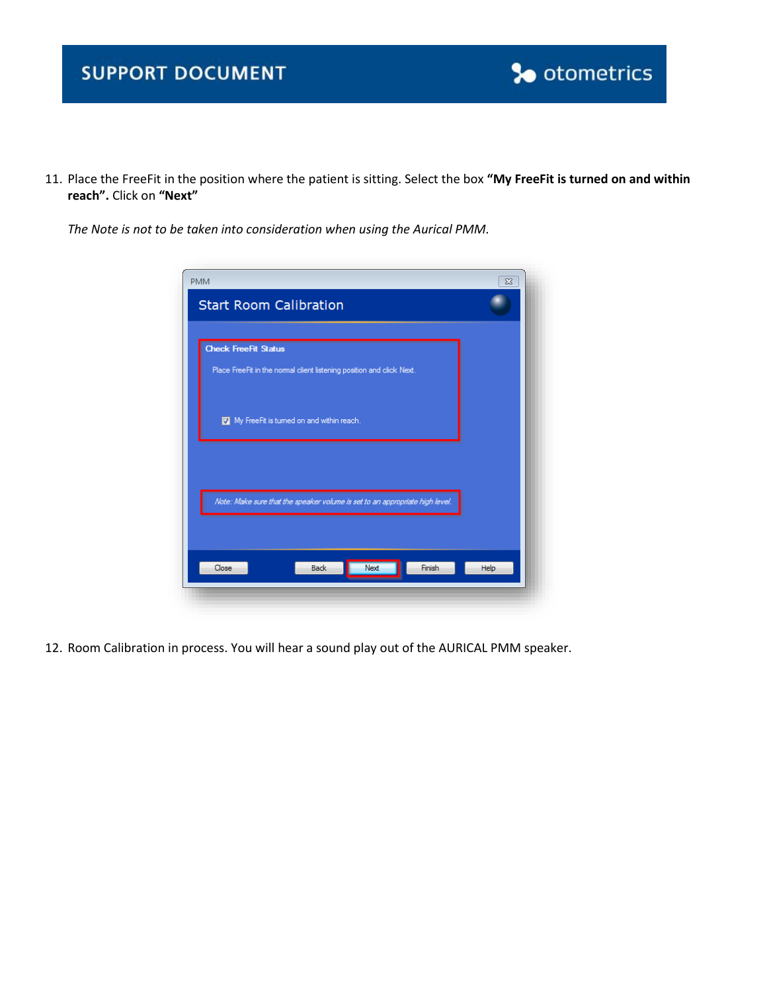## **SUPPORT DOCUMENT**



11. Place the FreeFit in the position where the patient is sitting. Select the box **"My FreeFit is turned on and within reach".** Click on **"Next"**

*The Note is not to be taken into consideration when using the Aurical PMM.*

| <b>PMM</b>                                                                   | $\Sigma$ |
|------------------------------------------------------------------------------|----------|
| <b>Start Room Calibration</b>                                                |          |
|                                                                              |          |
| <b>Check FreeFit Status</b>                                                  |          |
| Place FreeFit in the normal client listening position and click Next.        |          |
|                                                                              |          |
|                                                                              |          |
| My FreeFit is turned on and within reach.                                    |          |
|                                                                              |          |
|                                                                              |          |
|                                                                              |          |
| Note: Make sure that the speaker volume is set to an appropriate high level. |          |
|                                                                              |          |
|                                                                              |          |
|                                                                              |          |
| Next<br>Finish<br>Close<br><b>Back</b>                                       | Help     |
|                                                                              |          |

12. Room Calibration in process. You will hear a sound play out of the AURICAL PMM speaker.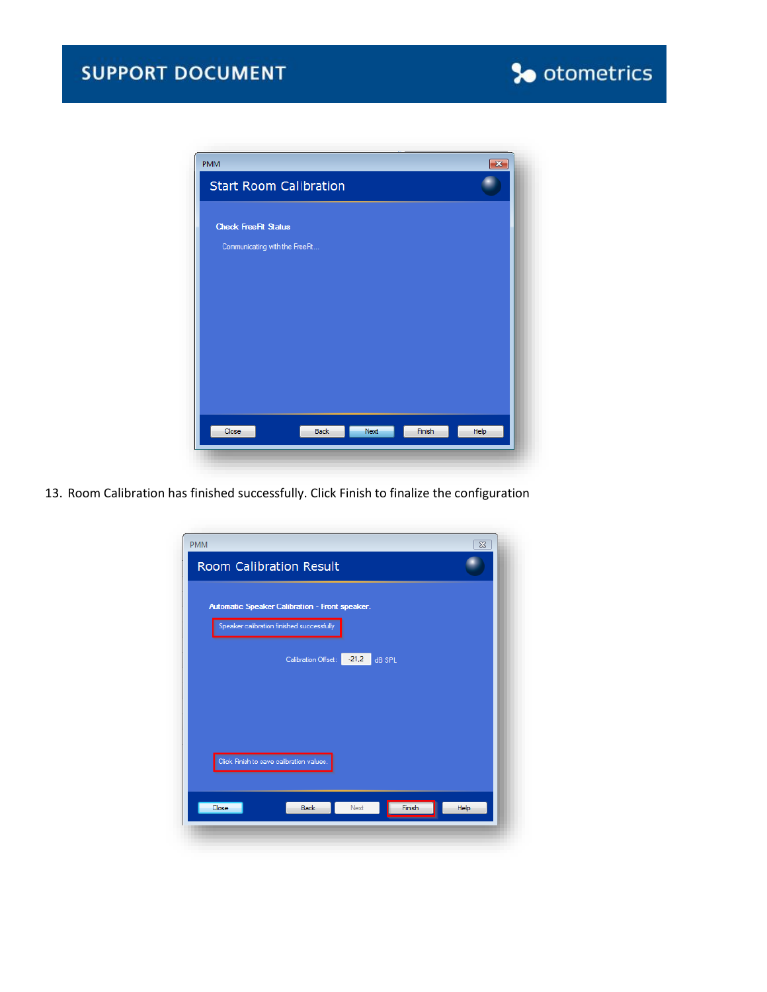



13. Room Calibration has finished successfully. Click Finish to finalize the configuration

| <b>PMM</b>                                     | $\Sigma$       |
|------------------------------------------------|----------------|
| <b>Room Calibration Result</b>                 |                |
|                                                |                |
| Automatic Speaker Calibration - Front speaker. |                |
| Speaker calibration finished successfully      |                |
|                                                |                |
| $-21,2$<br>dB SPL<br>Calibration Offset:       |                |
|                                                |                |
|                                                |                |
|                                                |                |
|                                                |                |
| Click Finish to save calibration values.       |                |
|                                                |                |
| Close<br><b>Back</b><br>Next                   | Finish<br>Help |
|                                                |                |
|                                                |                |